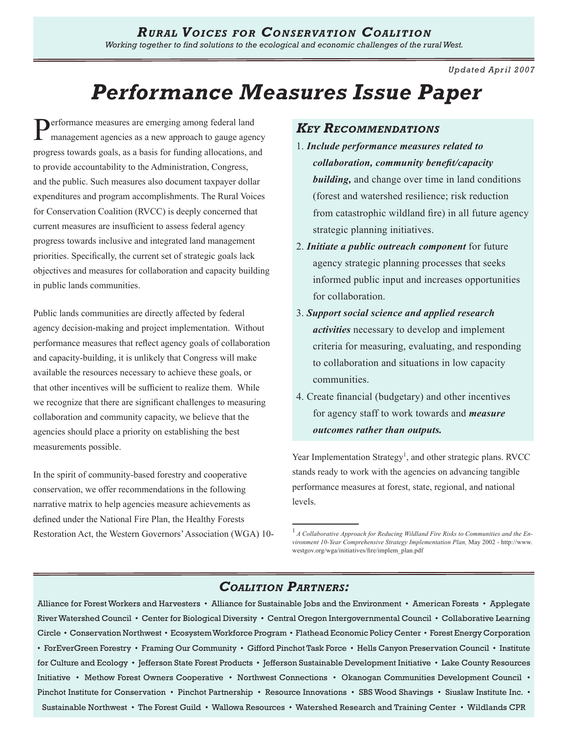*Updated Apr il 2007*

# *Performance Measures Issue Paper*

Performance measures are emerging among federal land management agencies as a new approach to gauge agency progress towards goals, as a basis for funding allocations, and to provide accountability to the Administration, Congress, and the public. Such measures also document taxpayer dollar expenditures and program accomplishments. The Rural Voices for Conservation Coalition (RVCC) is deeply concerned that current measures are insufficient to assess federal agency progress towards inclusive and integrated land management priorities. Specifically, the current set of strategic goals lack objectives and measures for collaboration and capacity building in public lands communities.

Public lands communities are directly affected by federal agency decision-making and project implementation. Without performance measures that reflect agency goals of collaboration and capacity-building, it is unlikely that Congress will make available the resources necessary to achieve these goals, or that other incentives will be sufficient to realize them. While we recognize that there are significant challenges to measuring collaboration and community capacity, we believe that the agencies should place a priority on establishing the best measurements possible.

In the spirit of community-based forestry and cooperative conservation, we offer recommendations in the following narrative matrix to help agencies measure achievements as defined under the National Fire Plan, the Healthy Forests Restoration Act, the Western Governors' Association (WGA) 10-

### *Key Recommendations*

- 1. *Include performance measures related to collaboration, community benefit/capacity building,* and change over time in land conditions (forest and watershed resilience; risk reduction from catastrophic wildland fire) in all future agency strategic planning initiatives.
- 2. *Initiate a public outreach component* for future agency strategic planning processes that seeks informed public input and increases opportunities for collaboration.
- 3. *Support social science and applied research activities* necessary to develop and implement criteria for measuring, evaluating, and responding to collaboration and situations in low capacity communities.
- 4. Create financial (budgetary) and other incentives for agency staff to work towards and *measure outcomes rather than outputs.*

Year Implementation Strategy<sup>1</sup>, and other strategic plans. RVCC stands ready to work with the agencies on advancing tangible performance measures at forest, state, regional, and national levels.

### *Coalition Partners:*

Alliance for Forest Workers and Harvesters • Alliance for Sustainable Jobs and the Environment • American Forests • Applegate River Watershed Council • Center for Biological Diversity • Central Oregon Intergovernmental Council • Collaborative Learning Circle • Conservation Northwest • Ecosystem Workforce Program • Flathead Economic Policy Center • Forest Energy Corporation • ForEverGreen Forestry • Framing Our Community • Gifford Pinchot Task Force • Hells Canyon Preservation Council • Institute for Culture and Ecology • Jefferson State Forest Products • Jefferson Sustainable Development Initiative • Lake County Resources Initiative • Methow Forest Owners Cooperative • Northwest Connections • Okanogan Communities Development Council • Pinchot Institute for Conservation • Pinchot Partnership • Resource Innovations • SBS Wood Shavings • Siuslaw Institute Inc. • Sustainable Northwest • The Forest Guild • Wallowa Resources • Watershed Research and Training Center • Wildlands CPR

<sup>1</sup>*A Collaborative Approach for Reducing Wildland Fire Risks to Communities and the Environment 10-Year Comprehensive Strategy Implementation Plan,* May 2002 - http://www. westgov.org/wga/initiatives/fire/implem\_plan.pdf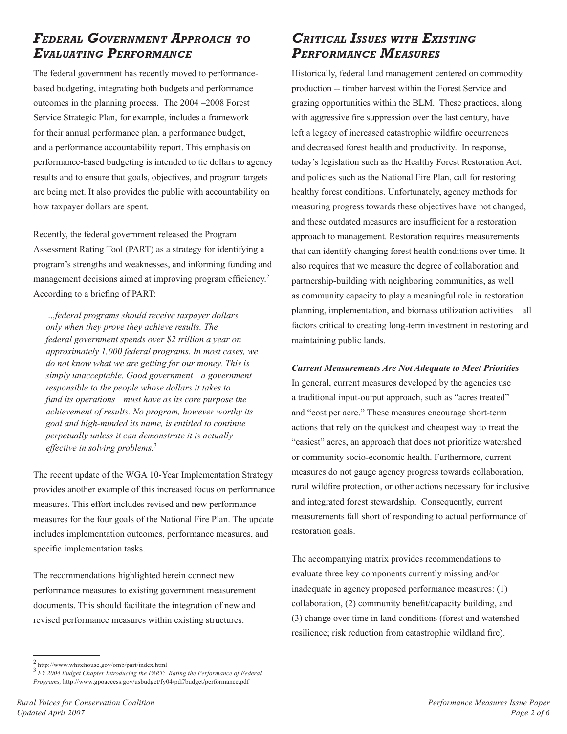### *Federal Government Approach to Evaluating Performance*

The federal government has recently moved to performancebased budgeting, integrating both budgets and performance outcomes in the planning process. The 2004 –2008 Forest Service Strategic Plan, for example, includes a framework for their annual performance plan, a performance budget, and a performance accountability report. This emphasis on performance-based budgeting is intended to tie dollars to agency results and to ensure that goals, objectives, and program targets are being met. It also provides the public with accountability on how taxpayer dollars are spent.

Recently, the federal government released the Program Assessment Rating Tool (PART) as a strategy for identifying a program's strengths and weaknesses, and informing funding and management decisions aimed at improving program efficiency.<sup>2</sup> According to a briefing of PART:

 ...*federal programs should receive taxpayer dollars only when they prove they achieve results. The federal government spends over \$2 trillion a year on approximately 1,000 federal programs. In most cases, we do not know what we are getting for our money. This is simply unacceptable. Good government—a government responsible to the people whose dollars it takes to fund its operations—must have as its core purpose the achievement of results. No program, however worthy its goal and high-minded its name, is entitled to continue perpetually unless it can demonstrate it is actually effective in solving problems.*<sup>3</sup>

The recent update of the WGA 10-Year Implementation Strategy provides another example of this increased focus on performance measures. This effort includes revised and new performance measures for the four goals of the National Fire Plan. The update includes implementation outcomes, performance measures, and specific implementation tasks.

The recommendations highlighted herein connect new performance measures to existing government measurement documents. This should facilitate the integration of new and revised performance measures within existing structures.

### *Critical Issues with Existing Performance Measures*

Historically, federal land management centered on commodity production -- timber harvest within the Forest Service and grazing opportunities within the BLM. These practices, along with aggressive fire suppression over the last century, have left a legacy of increased catastrophic wildfire occurrences and decreased forest health and productivity. In response, today's legislation such as the Healthy Forest Restoration Act, and policies such as the National Fire Plan, call for restoring healthy forest conditions. Unfortunately, agency methods for measuring progress towards these objectives have not changed, and these outdated measures are insufficient for a restoration approach to management. Restoration requires measurements that can identify changing forest health conditions over time. It also requires that we measure the degree of collaboration and partnership-building with neighboring communities, as well as community capacity to play a meaningful role in restoration planning, implementation, and biomass utilization activities – all factors critical to creating long-term investment in restoring and maintaining public lands.

### *Current Measurements Are Not Adequate to Meet Priorities*

In general, current measures developed by the agencies use a traditional input-output approach, such as "acres treated" and "cost per acre." These measures encourage short-term actions that rely on the quickest and cheapest way to treat the "easiest" acres, an approach that does not prioritize watershed or community socio-economic health. Furthermore, current measures do not gauge agency progress towards collaboration, rural wildfire protection, or other actions necessary for inclusive and integrated forest stewardship. Consequently, current measurements fall short of responding to actual performance of restoration goals.

The accompanying matrix provides recommendations to evaluate three key components currently missing and/or inadequate in agency proposed performance measures: (1) collaboration, (2) community benefit/capacity building, and (3) change over time in land conditions (forest and watershed resilience; risk reduction from catastrophic wildland fire).

<sup>2</sup> http://www.whitehouse.gov/omb/part/index.htm<sup>l</sup> <sup>3</sup> *FY 2004 Budget Chapter Introducing the PART: Rating the Performance of Federal Programs,* http://www.gpoaccess.gov/usbudget/fy04/pdf/budget/performance.pdf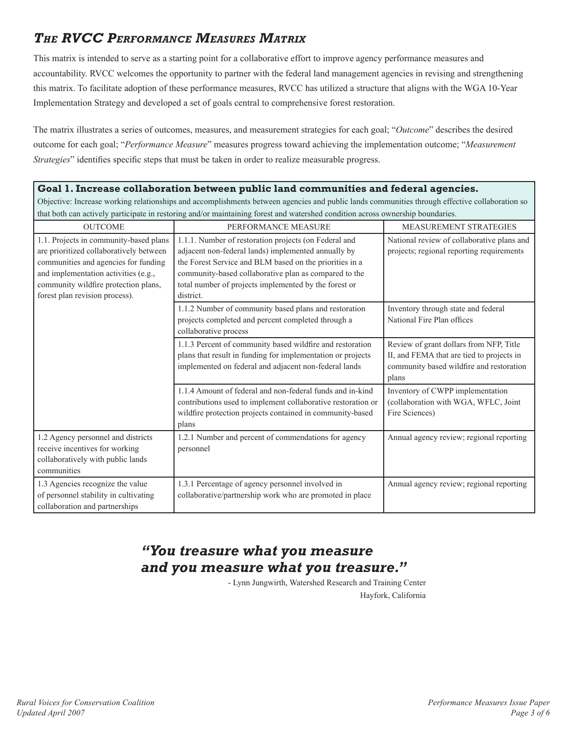# *The RVCC Performance Measures Matrix*

This matrix is intended to serve as a starting point for a collaborative effort to improve agency performance measures and accountability. RVCC welcomes the opportunity to partner with the federal land management agencies in revising and strengthening this matrix. To facilitate adoption of these performance measures, RVCC has utilized a structure that aligns with the WGA 10-Year Implementation Strategy and developed a set of goals central to comprehensive forest restoration.

The matrix illustrates a series of outcomes, measures, and measurement strategies for each goal; "*Outcome*" describes the desired outcome for each goal; "*Performance Measure*" measures progress toward achieving the implementation outcome; "*Measurement Strategies*" identifies specific steps that must be taken in order to realize measurable progress.

### **Goal 1. Increase collaboration between public land communities and federal agencies.**

Objective: Increase working relationships and accomplishments between agencies and public lands communities through effective collaboration so that both can actively participate in restoring and/or maintaining forest and watershed condition across ownership boundaries.

| <b>OUTCOME</b>                                                                                                                                                                                                                              | PERFORMANCE MEASURE                                                                                                                                                                                                                                                                                    | <b>MEASUREMENT STRATEGIES</b>                                                                                                             |
|---------------------------------------------------------------------------------------------------------------------------------------------------------------------------------------------------------------------------------------------|--------------------------------------------------------------------------------------------------------------------------------------------------------------------------------------------------------------------------------------------------------------------------------------------------------|-------------------------------------------------------------------------------------------------------------------------------------------|
| 1.1. Projects in community-based plans<br>are prioritized collaboratively between<br>communities and agencies for funding<br>and implementation activities (e.g.,<br>community wildfire protection plans,<br>forest plan revision process). | 1.1.1. Number of restoration projects (on Federal and<br>adjacent non-federal lands) implemented annually by<br>the Forest Service and BLM based on the priorities in a<br>community-based collaborative plan as compared to the<br>total number of projects implemented by the forest or<br>district. | National review of collaborative plans and<br>projects; regional reporting requirements                                                   |
|                                                                                                                                                                                                                                             | 1.1.2 Number of community based plans and restoration<br>projects completed and percent completed through a<br>collaborative process                                                                                                                                                                   | Inventory through state and federal<br>National Fire Plan offices                                                                         |
|                                                                                                                                                                                                                                             | 1.1.3 Percent of community based wildfire and restoration<br>plans that result in funding for implementation or projects<br>implemented on federal and adjacent non-federal lands                                                                                                                      | Review of grant dollars from NFP, Title<br>II, and FEMA that are tied to projects in<br>community based wildfire and restoration<br>plans |
|                                                                                                                                                                                                                                             | 1.1.4 Amount of federal and non-federal funds and in-kind<br>contributions used to implement collaborative restoration or<br>wildfire protection projects contained in community-based<br>plans                                                                                                        | Inventory of CWPP implementation<br>(collaboration with WGA, WFLC, Joint<br>Fire Sciences)                                                |
| 1.2 Agency personnel and districts<br>receive incentives for working<br>collaboratively with public lands<br>communities                                                                                                                    | 1.2.1 Number and percent of commendations for agency<br>personnel                                                                                                                                                                                                                                      | Annual agency review; regional reporting                                                                                                  |
| 1.3 Agencies recognize the value<br>of personnel stability in cultivating<br>collaboration and partnerships                                                                                                                                 | 1.3.1 Percentage of agency personnel involved in<br>collaborative/partnership work who are promoted in place                                                                                                                                                                                           | Annual agency review; regional reporting                                                                                                  |

## *"You treasure what you measure and you measure what you treasure."*

- Lynn Jungwirth, Watershed Research and Training Center Hayfork, California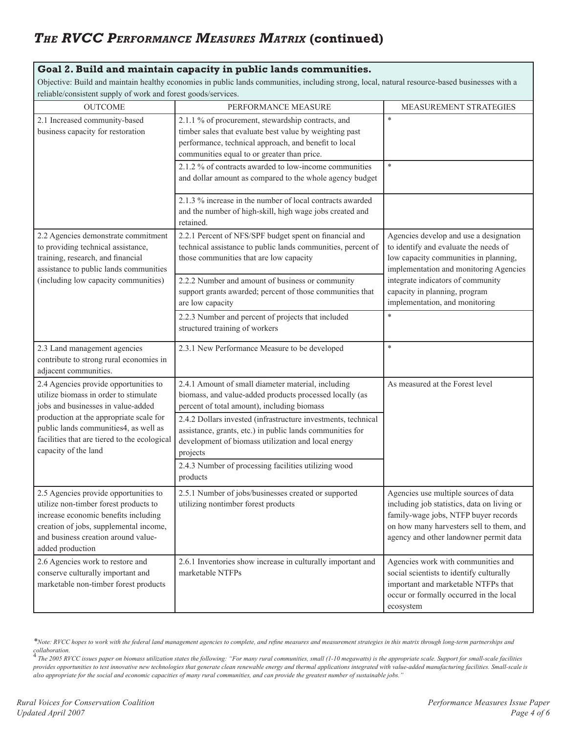# *The RVCC Performance Measures Matrix* **(continued)**

### **Goal 2. Build and maintain capacity in public lands communities.**

Objective: Build and maintain healthy economies in public lands communities, including strong, local, natural resource-based businesses with a reliable/consistent supply of work and forest goods/services.

| $1.1 - 2$<br><b>OUTCOME</b>                                                                                                                                                                                                                                                      | PERFORMANCE MEASURE                                                                                                                                                                                                   | MEASUREMENT STRATEGIES                                                                                                                                                                                             |
|----------------------------------------------------------------------------------------------------------------------------------------------------------------------------------------------------------------------------------------------------------------------------------|-----------------------------------------------------------------------------------------------------------------------------------------------------------------------------------------------------------------------|--------------------------------------------------------------------------------------------------------------------------------------------------------------------------------------------------------------------|
| 2.1 Increased community-based<br>business capacity for restoration                                                                                                                                                                                                               | 2.1.1 % of procurement, stewardship contracts, and<br>timber sales that evaluate best value by weighting past<br>performance, technical approach, and benefit to local<br>communities equal to or greater than price. | *                                                                                                                                                                                                                  |
|                                                                                                                                                                                                                                                                                  | 2.1.2 % of contracts awarded to low-income communities<br>and dollar amount as compared to the whole agency budget                                                                                                    | $\ast$                                                                                                                                                                                                             |
|                                                                                                                                                                                                                                                                                  | 2.1.3 % increase in the number of local contracts awarded<br>and the number of high-skill, high wage jobs created and<br>retained.                                                                                    |                                                                                                                                                                                                                    |
| 2.2 Agencies demonstrate commitment<br>to providing technical assistance,<br>training, research, and financial<br>assistance to public lands communities<br>(including low capacity communities)                                                                                 | 2.2.1 Percent of NFS/SPF budget spent on financial and<br>technical assistance to public lands communities, percent of<br>those communities that are low capacity                                                     | Agencies develop and use a designation<br>to identify and evaluate the needs of<br>low capacity communities in planning,<br>implementation and monitoring Agencies                                                 |
|                                                                                                                                                                                                                                                                                  | 2.2.2 Number and amount of business or community<br>support grants awarded; percent of those communities that<br>are low capacity                                                                                     | integrate indicators of community<br>capacity in planning, program<br>implementation, and monitoring                                                                                                               |
|                                                                                                                                                                                                                                                                                  | 2.2.3 Number and percent of projects that included<br>structured training of workers                                                                                                                                  | $\ast$                                                                                                                                                                                                             |
| 2.3 Land management agencies<br>contribute to strong rural economies in<br>adjacent communities.                                                                                                                                                                                 | 2.3.1 New Performance Measure to be developed                                                                                                                                                                         | $\ast$                                                                                                                                                                                                             |
| 2.4 Agencies provide opportunities to<br>utilize biomass in order to stimulate<br>jobs and businesses in value-added<br>production at the appropriate scale for<br>public lands communities4, as well as<br>facilities that are tiered to the ecological<br>capacity of the land | 2.4.1 Amount of small diameter material, including<br>biomass, and value-added products processed locally (as<br>percent of total amount), including biomass                                                          | As measured at the Forest level                                                                                                                                                                                    |
|                                                                                                                                                                                                                                                                                  | 2.4.2 Dollars invested (infrastructure investments, technical<br>assistance, grants, etc.) in public lands communities for<br>development of biomass utilization and local energy<br>projects                         |                                                                                                                                                                                                                    |
|                                                                                                                                                                                                                                                                                  | 2.4.3 Number of processing facilities utilizing wood<br>products                                                                                                                                                      |                                                                                                                                                                                                                    |
| 2.5 Agencies provide opportunities to<br>utilize non-timber forest products to<br>increase economic benefits including<br>creation of jobs, supplemental income,<br>and business creation around value-<br>added production                                                      | 2.5.1 Number of jobs/businesses created or supported<br>utilizing nontimber forest products                                                                                                                           | Agencies use multiple sources of data<br>including job statistics, data on living or<br>family-wage jobs, NTFP buyer records<br>on how many harvesters sell to them, and<br>agency and other landowner permit data |
| 2.6 Agencies work to restore and<br>conserve culturally important and<br>marketable non-timber forest products                                                                                                                                                                   | 2.6.1 Inventories show increase in culturally important and<br>marketable NTFPs                                                                                                                                       | Agencies work with communities and<br>social scientists to identify culturally<br>important and marketable NTFPs that<br>occur or formally occurred in the local<br>ecosystem                                      |

*<sup>\*</sup>Note: RVCC hopes to work with the federal land management agencies to complete, and refine measures and measurement strategies in this matrix through long-term partnerships and* 

collaboration.<br><sup>4</sup> The 2005 RVCC issues paper on biomass utilization states the following: "For many rural communities, small (1-10 megawatts) is the appropriate scale. Support for small-scale facilities *provides opportunities to test innovative new technologies that generate clean renewable energy and thermal applications integrated with value-added manufacturing facilities. Small-scale is also appropriate for the social and economic capacities of many rural communities, and can provide the greatest number of sustainable jobs."*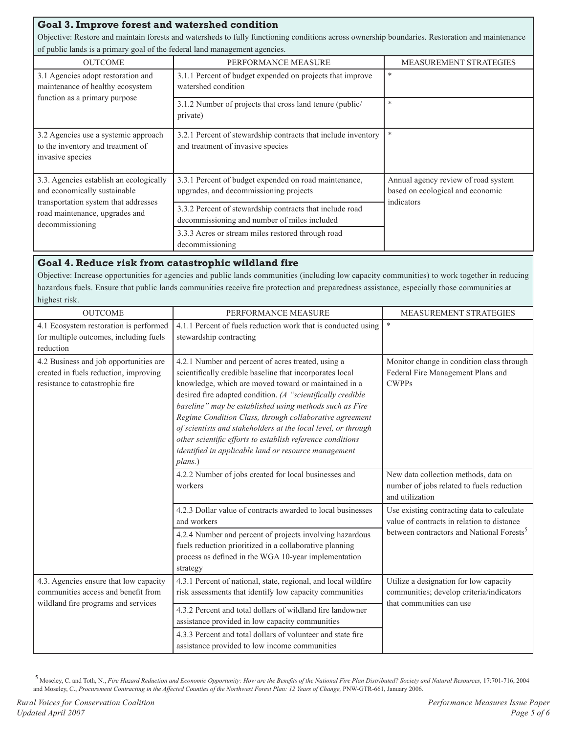### **Goal 3. Improve forest and watershed condition**

Objective: Restore and maintain forests and watersheds to fully functioning conditions across ownership boundaries. Restoration and maintenance of public lands is a primary goal of the federal land management agencies.

| <b>OUTCOME</b>                                                                                                                                                       | PERFORMANCE MEASURE                                                                                      | <b>MEASUREMENT STRATEGIES</b>                                                         |
|----------------------------------------------------------------------------------------------------------------------------------------------------------------------|----------------------------------------------------------------------------------------------------------|---------------------------------------------------------------------------------------|
| 3.1 Agencies adopt restoration and<br>maintenance of healthy ecosystem<br>function as a primary purpose                                                              | 3.1.1 Percent of budget expended on projects that improve<br>watershed condition                         | *                                                                                     |
|                                                                                                                                                                      | 3.1.2 Number of projects that cross land tenure (public/<br>private)                                     | $\ast$                                                                                |
| 3.2 Agencies use a systemic approach<br>to the inventory and treatment of<br>invasive species                                                                        | 3.2.1 Percent of stewardship contracts that include inventory<br>and treatment of invasive species       | $\ast$                                                                                |
| 3.3. Agencies establish an ecologically<br>and economically sustainable<br>transportation system that addresses<br>road maintenance, upgrades and<br>decommissioning | 3.3.1 Percent of budget expended on road maintenance,<br>upgrades, and decommissioning projects          | Annual agency review of road system<br>based on ecological and economic<br>indicators |
|                                                                                                                                                                      | 3.3.2 Percent of stewardship contracts that include road<br>decommissioning and number of miles included |                                                                                       |
|                                                                                                                                                                      | 3.3.3 Acres or stream miles restored through road<br>decommissioning                                     |                                                                                       |

### **Goal 4. Reduce risk from catastrophic wildland fire**

Objective: Increase opportunities for agencies and public lands communities (including low capacity communities) to work together in reducing hazardous fuels. Ensure that public lands communities receive fire protection and preparedness assistance, especially those communities at highest risk.

| <b>OUTCOME</b>                                                                                                       | PERFORMANCE MEASURE                                                                                                                                                                                                                                                                                                                                                                                                                                                                                                                                           | MEASUREMENT STRATEGIES                                                                                                                            |
|----------------------------------------------------------------------------------------------------------------------|---------------------------------------------------------------------------------------------------------------------------------------------------------------------------------------------------------------------------------------------------------------------------------------------------------------------------------------------------------------------------------------------------------------------------------------------------------------------------------------------------------------------------------------------------------------|---------------------------------------------------------------------------------------------------------------------------------------------------|
| 4.1 Ecosystem restoration is performed<br>for multiple outcomes, including fuels<br>reduction                        | 4.1.1 Percent of fuels reduction work that is conducted using<br>stewardship contracting                                                                                                                                                                                                                                                                                                                                                                                                                                                                      | $\ast$                                                                                                                                            |
| 4.2 Business and job opportunities are<br>created in fuels reduction, improving<br>resistance to catastrophic fire   | 4.2.1 Number and percent of acres treated, using a<br>scientifically credible baseline that incorporates local<br>knowledge, which are moved toward or maintained in a<br>desired fire adapted condition. (A "scientifically credible<br>baseline" may be established using methods such as Fire<br>Regime Condition Class, through collaborative agreement<br>of scientists and stakeholders at the local level, or through<br>other scientific efforts to establish reference conditions<br>identified in applicable land or resource management<br>plans.) | Monitor change in condition class through<br>Federal Fire Management Plans and<br><b>CWPPs</b>                                                    |
|                                                                                                                      | 4.2.2 Number of jobs created for local businesses and<br>workers                                                                                                                                                                                                                                                                                                                                                                                                                                                                                              | New data collection methods, data on<br>number of jobs related to fuels reduction<br>and utilization                                              |
|                                                                                                                      | 4.2.3 Dollar value of contracts awarded to local businesses<br>and workers<br>4.2.4 Number and percent of projects involving hazardous<br>fuels reduction prioritized in a collaborative planning<br>process as defined in the WGA 10-year implementation<br>strategy                                                                                                                                                                                                                                                                                         | Use existing contracting data to calculate<br>value of contracts in relation to distance<br>between contractors and National Forests <sup>5</sup> |
| 4.3. Agencies ensure that low capacity<br>communities access and benefit from<br>wildland fire programs and services | 4.3.1 Percent of national, state, regional, and local wildfire<br>risk assessments that identify low capacity communities                                                                                                                                                                                                                                                                                                                                                                                                                                     | Utilize a designation for low capacity<br>communities; develop criteria/indicators<br>that communities can use                                    |
|                                                                                                                      | 4.3.2 Percent and total dollars of wildland fire landowner<br>assistance provided in low capacity communities<br>4.3.3 Percent and total dollars of volunteer and state fire<br>assistance provided to low income communities                                                                                                                                                                                                                                                                                                                                 |                                                                                                                                                   |

<sup>5</sup>Moseley, C. and Toth, N., *Fire Hazard Reduction and Economic Opportunity: How are the Benefits of the National Fire Plan Distributed? Society and Natural Resources,* 17:701-716, 2004 and Moseley, C., *Procurement Contracting in the Affected Counties of the Northwest Forest Plan: 12 Years of Change,* PNW-GTR-661, January 2006.